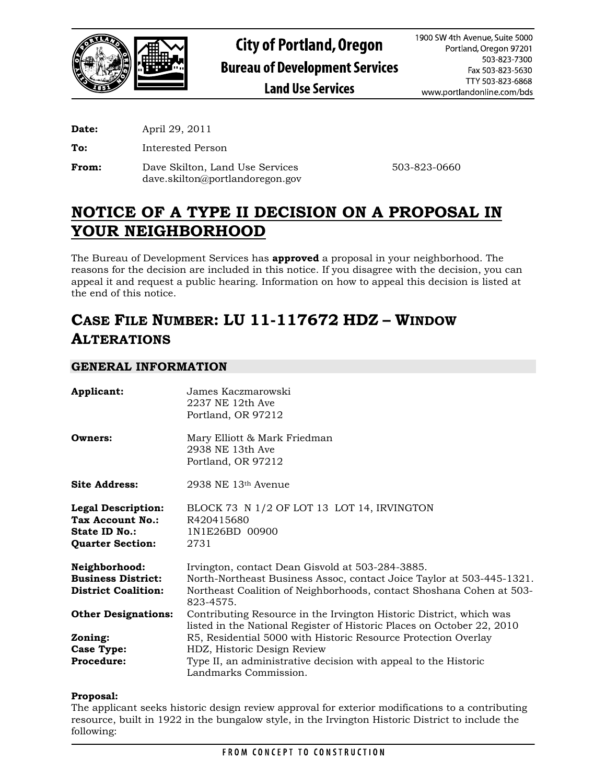

**Date:** April 29, 2011

**To:** Interested Person

**From:** Dave Skilton, Land Use Services 503-823-0660 dave.skilton@portlandoregon.gov

# **NOTICE OF A TYPE II DECISION ON A PROPOSAL IN YOUR NEIGHBORHOOD**

The Bureau of Development Services has **approved** a proposal in your neighborhood. The reasons for the decision are included in this notice. If you disagree with the decision, you can appeal it and request a public hearing. Information on how to appeal this decision is listed at the end of this notice.

# **CASE FILE NUMBER: LU 11-117672 HDZ – WINDOW ALTERATIONS**

## **GENERAL INFORMATION**

| Applicant:                                                                                | James Kaczmarowski<br>2237 NE 12th Ave<br>Portland, OR 97212                                                                                                                                                   |  |  |  |
|-------------------------------------------------------------------------------------------|----------------------------------------------------------------------------------------------------------------------------------------------------------------------------------------------------------------|--|--|--|
| Owners:                                                                                   | Mary Elliott & Mark Friedman<br>2938 NE 13th Ave<br>Portland, OR 97212                                                                                                                                         |  |  |  |
| <b>Site Address:</b>                                                                      | $2938$ NE $13th$ Avenue                                                                                                                                                                                        |  |  |  |
| <b>Legal Description:</b><br>Tax Account No.:<br>State ID No.:<br><b>Quarter Section:</b> | BLOCK 73 N 1/2 OF LOT 13 LOT 14, IRVINGTON<br>R420415680<br>1N1E26BD 00900<br>2731                                                                                                                             |  |  |  |
| Neighborhood:<br><b>Business District:</b><br><b>District Coalition:</b>                  | Irvington, contact Dean Gisvold at 503-284-3885.<br>North-Northeast Business Assoc, contact Joice Taylor at 503-445-1321.<br>Northeast Coalition of Neighborhoods, contact Shoshana Cohen at 503-<br>823-4575. |  |  |  |
| <b>Other Designations:</b>                                                                | Contributing Resource in the Irvington Historic District, which was<br>listed in the National Register of Historic Places on October 22, 2010                                                                  |  |  |  |
| Zoning:                                                                                   | R5, Residential 5000 with Historic Resource Protection Overlay                                                                                                                                                 |  |  |  |
| <b>Case Type:</b>                                                                         | HDZ, Historic Design Review                                                                                                                                                                                    |  |  |  |
| <b>Procedure:</b>                                                                         | Type II, an administrative decision with appeal to the Historic<br>Landmarks Commission.                                                                                                                       |  |  |  |

### **Proposal:**

The applicant seeks historic design review approval for exterior modifications to a contributing resource, built in 1922 in the bungalow style, in the Irvington Historic District to include the following: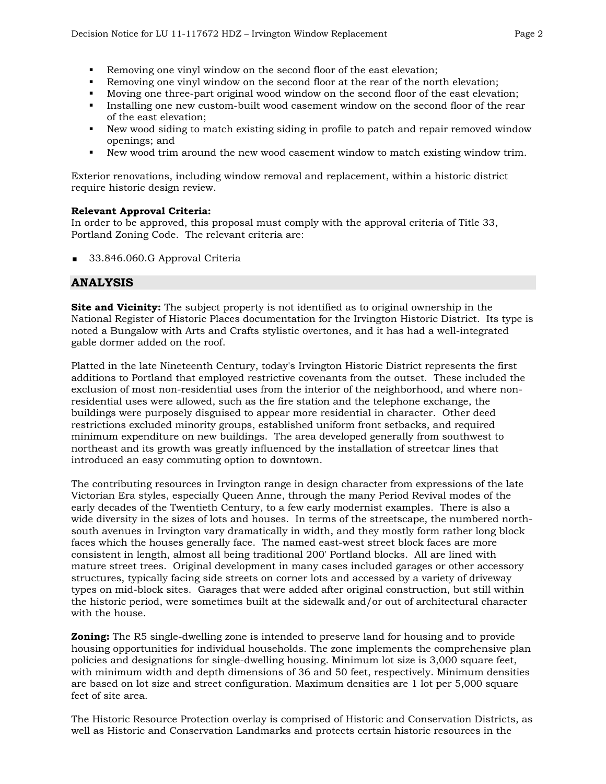- Removing one vinyl window on the second floor of the east elevation;
- Removing one vinyl window on the second floor at the rear of the north elevation;
- Moving one three-part original wood window on the second floor of the east elevation;
- Installing one new custom-built wood casement window on the second floor of the rear of the east elevation;
- New wood siding to match existing siding in profile to patch and repair removed window openings; and
- New wood trim around the new wood casement window to match existing window trim.

Exterior renovations, including window removal and replacement, within a historic district require historic design review.

### **Relevant Approval Criteria:**

In order to be approved, this proposal must comply with the approval criteria of Title 33, Portland Zoning Code. The relevant criteria are:

33.846.060.G Approval Criteria

# **ANALYSIS**

**Site and Vicinity:** The subject property is not identified as to original ownership in the National Register of Historic Places documentation for the Irvington Historic District. Its type is noted a Bungalow with Arts and Crafts stylistic overtones, and it has had a well-integrated gable dormer added on the roof.

Platted in the late Nineteenth Century, today's Irvington Historic District represents the first additions to Portland that employed restrictive covenants from the outset. These included the exclusion of most non-residential uses from the interior of the neighborhood, and where nonresidential uses were allowed, such as the fire station and the telephone exchange, the buildings were purposely disguised to appear more residential in character. Other deed restrictions excluded minority groups, established uniform front setbacks, and required minimum expenditure on new buildings. The area developed generally from southwest to northeast and its growth was greatly influenced by the installation of streetcar lines that introduced an easy commuting option to downtown.

The contributing resources in Irvington range in design character from expressions of the late Victorian Era styles, especially Queen Anne, through the many Period Revival modes of the early decades of the Twentieth Century, to a few early modernist examples. There is also a wide diversity in the sizes of lots and houses. In terms of the streetscape, the numbered northsouth avenues in Irvington vary dramatically in width, and they mostly form rather long block faces which the houses generally face. The named east-west street block faces are more consistent in length, almost all being traditional 200' Portland blocks. All are lined with mature street trees. Original development in many cases included garages or other accessory structures, typically facing side streets on corner lots and accessed by a variety of driveway types on mid-block sites. Garages that were added after original construction, but still within the historic period, were sometimes built at the sidewalk and/or out of architectural character with the house.

**Zoning:** The R5 single-dwelling zone is intended to preserve land for housing and to provide housing opportunities for individual households. The zone implements the comprehensive plan policies and designations for single-dwelling housing. Minimum lot size is 3,000 square feet, with minimum width and depth dimensions of 36 and 50 feet, respectively. Minimum densities are based on lot size and street configuration. Maximum densities are 1 lot per 5,000 square feet of site area.

The Historic Resource Protection overlay is comprised of Historic and Conservation Districts, as well as Historic and Conservation Landmarks and protects certain historic resources in the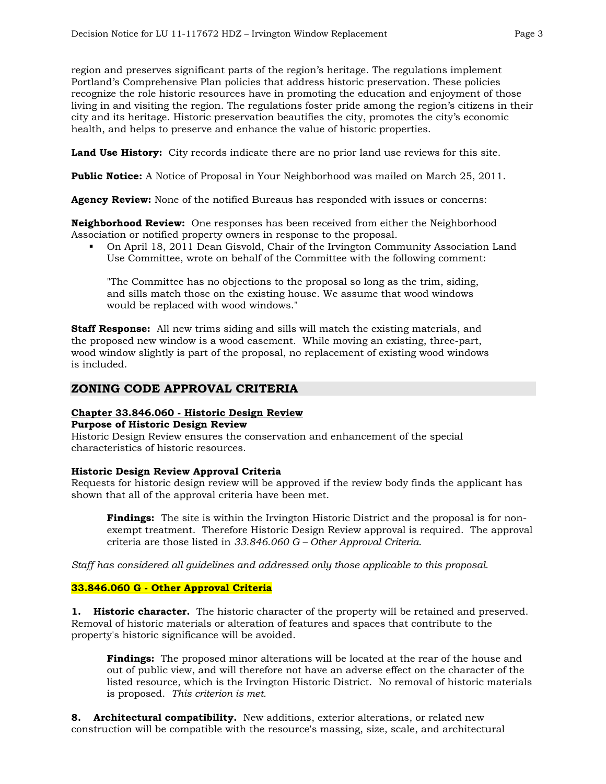region and preserves significant parts of the region's heritage. The regulations implement Portland's Comprehensive Plan policies that address historic preservation. These policies recognize the role historic resources have in promoting the education and enjoyment of those living in and visiting the region. The regulations foster pride among the region's citizens in their city and its heritage. Historic preservation beautifies the city, promotes the city's economic health, and helps to preserve and enhance the value of historic properties.

**Land Use History:** City records indicate there are no prior land use reviews for this site.

**Public Notice:** A Notice of Proposal in Your Neighborhood was mailed on March 25, 2011.

**Agency Review:** None of the notified Bureaus has responded with issues or concerns:

**Neighborhood Review:** One responses has been received from either the Neighborhood Association or notified property owners in response to the proposal.

 On April 18, 2011 Dean Gisvold, Chair of the Irvington Community Association Land Use Committee, wrote on behalf of the Committee with the following comment:

"The Committee has no objections to the proposal so long as the trim, siding, and sills match those on the existing house. We assume that wood windows would be replaced with wood windows."

**Staff Response:** All new trims siding and sills will match the existing materials, and the proposed new window is a wood casement. While moving an existing, three-part, wood window slightly is part of the proposal, no replacement of existing wood windows is included.

# **ZONING CODE APPROVAL CRITERIA**

# **Chapter 33.846.060 - Historic Design Review**

### **Purpose of Historic Design Review**

Historic Design Review ensures the conservation and enhancement of the special characteristics of historic resources.

#### **Historic Design Review Approval Criteria**

Requests for historic design review will be approved if the review body finds the applicant has shown that all of the approval criteria have been met.

**Findings:** The site is within the Irvington Historic District and the proposal is for nonexempt treatment. Therefore Historic Design Review approval is required. The approval criteria are those listed in *33.846.060 G – Other Approval Criteria*.

*Staff has considered all guidelines and addressed only those applicable to this proposal.* 

### **33.846.060 G - Other Approval Criteria**

**1. Historic character.** The historic character of the property will be retained and preserved. Removal of historic materials or alteration of features and spaces that contribute to the property's historic significance will be avoided.

**Findings:** The proposed minor alterations will be located at the rear of the house and out of public view, and will therefore not have an adverse effect on the character of the listed resource, which is the Irvington Historic District. No removal of historic materials is proposed. *This criterion is met.* 

**8. Architectural compatibility.** New additions, exterior alterations, or related new construction will be compatible with the resource's massing, size, scale, and architectural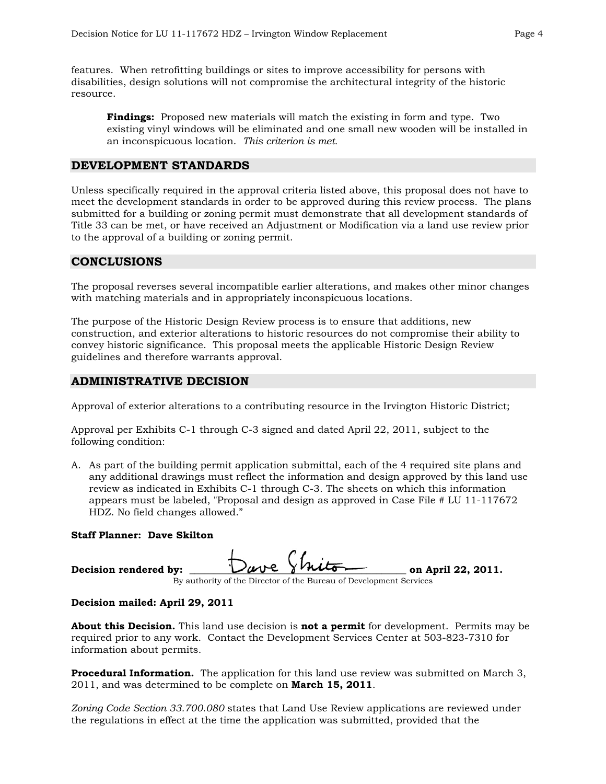features. When retrofitting buildings or sites to improve accessibility for persons with disabilities, design solutions will not compromise the architectural integrity of the historic resource.

**Findings:** Proposed new materials will match the existing in form and type. Two existing vinyl windows will be eliminated and one small new wooden will be installed in an inconspicuous location. *This criterion is met.* 

### **DEVELOPMENT STANDARDS**

Unless specifically required in the approval criteria listed above, this proposal does not have to meet the development standards in order to be approved during this review process. The plans submitted for a building or zoning permit must demonstrate that all development standards of Title 33 can be met, or have received an Adjustment or Modification via a land use review prior to the approval of a building or zoning permit.

### **CONCLUSIONS**

The proposal reverses several incompatible earlier alterations, and makes other minor changes with matching materials and in appropriately inconspicuous locations.

The purpose of the Historic Design Review process is to ensure that additions, new construction, and exterior alterations to historic resources do not compromise their ability to convey historic significance. This proposal meets the applicable Historic Design Review guidelines and therefore warrants approval.

## **ADMINISTRATIVE DECISION**

Approval of exterior alterations to a contributing resource in the Irvington Historic District;

Approval per Exhibits C-1 through C-3 signed and dated April 22, 2011, subject to the following condition:

A. As part of the building permit application submittal, each of the 4 required site plans and any additional drawings must reflect the information and design approved by this land use review as indicated in Exhibits C-1 through C-3. The sheets on which this information appears must be labeled, "Proposal and design as approved in Case File # LU 11-117672 HDZ. No field changes allowed."

#### **Staff Planner: Dave Skilton**

| Decision rendered by: |                                                                                                                                                                                                                                                                                            | Dave Shiton | on April 22, 2011. |
|-----------------------|--------------------------------------------------------------------------------------------------------------------------------------------------------------------------------------------------------------------------------------------------------------------------------------------|-------------|--------------------|
|                       | $\mathbf{D}$ and the solution $\mathbf{D}$ is the second function of $\mathbf{D}$ and $\mathbf{D}$ and $\mathbf{D}$ and $\mathbf{D}$ and $\mathbf{D}$ and $\mathbf{D}$ and $\mathbf{D}$ and $\mathbf{D}$ and $\mathbf{D}$ and $\mathbf{D}$ and $\mathbf{D}$ and $\mathbf{D}$ and $\mathbf$ |             |                    |

By authority of the Director of the Bureau of Development Services

#### **Decision mailed: April 29, 2011**

**About this Decision.** This land use decision is **not a permit** for development. Permits may be required prior to any work. Contact the Development Services Center at 503-823-7310 for information about permits.

**Procedural Information.** The application for this land use review was submitted on March 3, 2011, and was determined to be complete on **March 15, 2011**.

*Zoning Code Section 33.700.080* states that Land Use Review applications are reviewed under the regulations in effect at the time the application was submitted, provided that the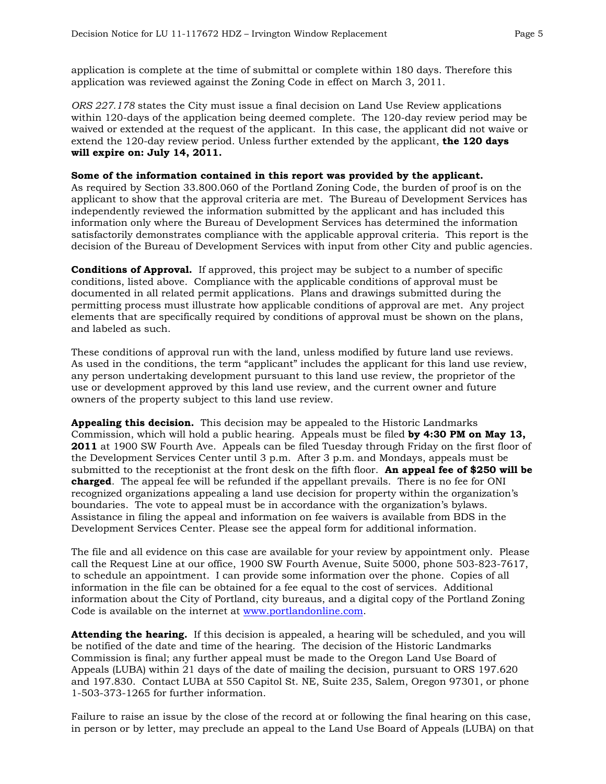application is complete at the time of submittal or complete within 180 days. Therefore this application was reviewed against the Zoning Code in effect on March 3, 2011.

*ORS 227.178* states the City must issue a final decision on Land Use Review applications within 120-days of the application being deemed complete. The 120-day review period may be waived or extended at the request of the applicant. In this case, the applicant did not waive or extend the 120-day review period. Unless further extended by the applicant, **the 120 days will expire on: July 14, 2011.**

#### **Some of the information contained in this report was provided by the applicant.**

As required by Section 33.800.060 of the Portland Zoning Code, the burden of proof is on the applicant to show that the approval criteria are met. The Bureau of Development Services has independently reviewed the information submitted by the applicant and has included this information only where the Bureau of Development Services has determined the information satisfactorily demonstrates compliance with the applicable approval criteria. This report is the decision of the Bureau of Development Services with input from other City and public agencies.

**Conditions of Approval.** If approved, this project may be subject to a number of specific conditions, listed above. Compliance with the applicable conditions of approval must be documented in all related permit applications. Plans and drawings submitted during the permitting process must illustrate how applicable conditions of approval are met. Any project elements that are specifically required by conditions of approval must be shown on the plans, and labeled as such.

These conditions of approval run with the land, unless modified by future land use reviews. As used in the conditions, the term "applicant" includes the applicant for this land use review, any person undertaking development pursuant to this land use review, the proprietor of the use or development approved by this land use review, and the current owner and future owners of the property subject to this land use review.

**Appealing this decision.** This decision may be appealed to the Historic Landmarks Commission, which will hold a public hearing. Appeals must be filed **by 4:30 PM on May 13, 2011** at 1900 SW Fourth Ave. Appeals can be filed Tuesday through Friday on the first floor of the Development Services Center until 3 p.m. After 3 p.m. and Mondays, appeals must be submitted to the receptionist at the front desk on the fifth floor. **An appeal fee of \$250 will be charged**. The appeal fee will be refunded if the appellant prevails. There is no fee for ONI recognized organizations appealing a land use decision for property within the organization's boundaries. The vote to appeal must be in accordance with the organization's bylaws. Assistance in filing the appeal and information on fee waivers is available from BDS in the Development Services Center. Please see the appeal form for additional information.

The file and all evidence on this case are available for your review by appointment only. Please call the Request Line at our office, 1900 SW Fourth Avenue, Suite 5000, phone 503-823-7617, to schedule an appointment. I can provide some information over the phone. Copies of all information in the file can be obtained for a fee equal to the cost of services. Additional information about the City of Portland, city bureaus, and a digital copy of the Portland Zoning Code is available on the internet at [www.portlandonline.com](http://www.ci.portland.or.us/).

**Attending the hearing.** If this decision is appealed, a hearing will be scheduled, and you will be notified of the date and time of the hearing. The decision of the Historic Landmarks Commission is final; any further appeal must be made to the Oregon Land Use Board of Appeals (LUBA) within 21 days of the date of mailing the decision, pursuant to ORS 197.620 and 197.830. Contact LUBA at 550 Capitol St. NE, Suite 235, Salem, Oregon 97301, or phone 1-503-373-1265 for further information.

Failure to raise an issue by the close of the record at or following the final hearing on this case, in person or by letter, may preclude an appeal to the Land Use Board of Appeals (LUBA) on that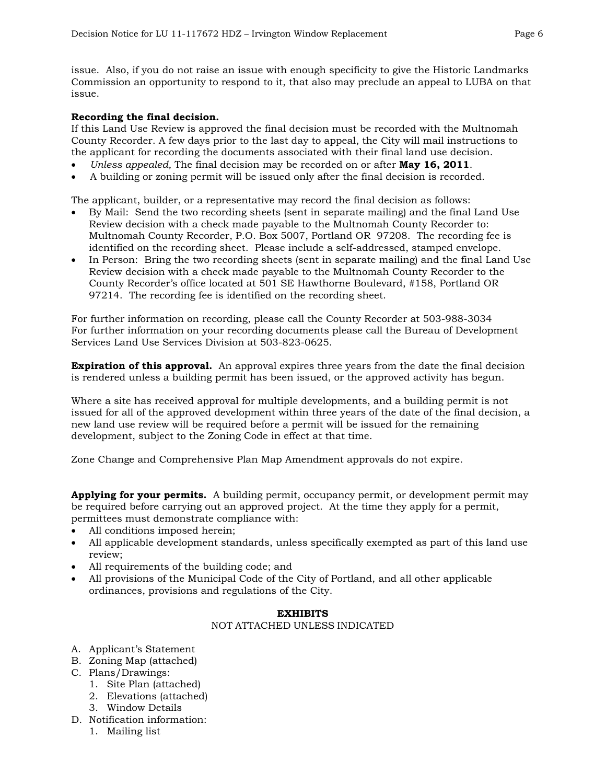issue. Also, if you do not raise an issue with enough specificity to give the Historic Landmarks Commission an opportunity to respond to it, that also may preclude an appeal to LUBA on that issue.

## **Recording the final decision.**

If this Land Use Review is approved the final decision must be recorded with the Multnomah County Recorder. A few days prior to the last day to appeal, the City will mail instructions to the applicant for recording the documents associated with their final land use decision.

- *Unless appealed,* The final decision may be recorded on or after **May 16, 2011**.
- A building or zoning permit will be issued only after the final decision is recorded.

The applicant, builder, or a representative may record the final decision as follows:

- By Mail: Send the two recording sheets (sent in separate mailing) and the final Land Use Review decision with a check made payable to the Multnomah County Recorder to: Multnomah County Recorder, P.O. Box 5007, Portland OR 97208. The recording fee is identified on the recording sheet. Please include a self-addressed, stamped envelope.
- In Person: Bring the two recording sheets (sent in separate mailing) and the final Land Use Review decision with a check made payable to the Multnomah County Recorder to the County Recorder's office located at 501 SE Hawthorne Boulevard, #158, Portland OR 97214. The recording fee is identified on the recording sheet.

For further information on recording, please call the County Recorder at 503-988-3034 For further information on your recording documents please call the Bureau of Development Services Land Use Services Division at 503-823-0625.

**Expiration of this approval.** An approval expires three years from the date the final decision is rendered unless a building permit has been issued, or the approved activity has begun.

Where a site has received approval for multiple developments, and a building permit is not issued for all of the approved development within three years of the date of the final decision, a new land use review will be required before a permit will be issued for the remaining development, subject to the Zoning Code in effect at that time.

Zone Change and Comprehensive Plan Map Amendment approvals do not expire.

**Applying for your permits.** A building permit, occupancy permit, or development permit may be required before carrying out an approved project. At the time they apply for a permit, permittees must demonstrate compliance with:

- All conditions imposed herein;
- All applicable development standards, unless specifically exempted as part of this land use review;
- All requirements of the building code; and
- All provisions of the Municipal Code of the City of Portland, and all other applicable ordinances, provisions and regulations of the City.

## **EXHIBITS**

#### NOT ATTACHED UNLESS INDICATED

- A. Applicant's Statement
- B. Zoning Map (attached)
- C. Plans/Drawings:
	- 1. Site Plan (attached)
	- 2. Elevations (attached)
	- 3. Window Details
- D. Notification information:
	- 1. Mailing list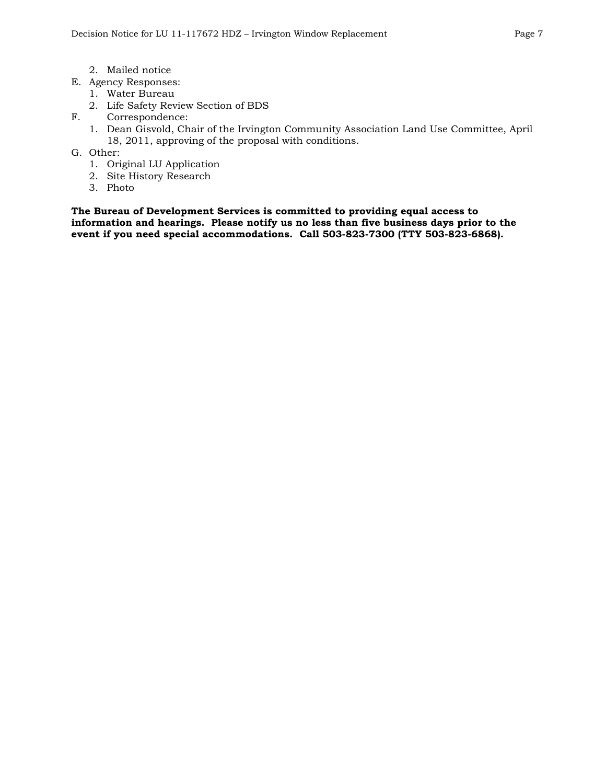- 2. Mailed notice
- E. Agency Responses:
	- 1. Water Bureau
	- 2. Life Safety Review Section of BDS
- F. Correspondence:
	- 1. Dean Gisvold, Chair of the Irvington Community Association Land Use Committee, April 18, 2011, approving of the proposal with conditions.
- G. Other:
	- 1. Original LU Application
	- 2. Site History Research
	- 3. Photo

**The Bureau of Development Services is committed to providing equal access to information and hearings. Please notify us no less than five business days prior to the event if you need special accommodations. Call 503-823-7300 (TTY 503-823-6868).**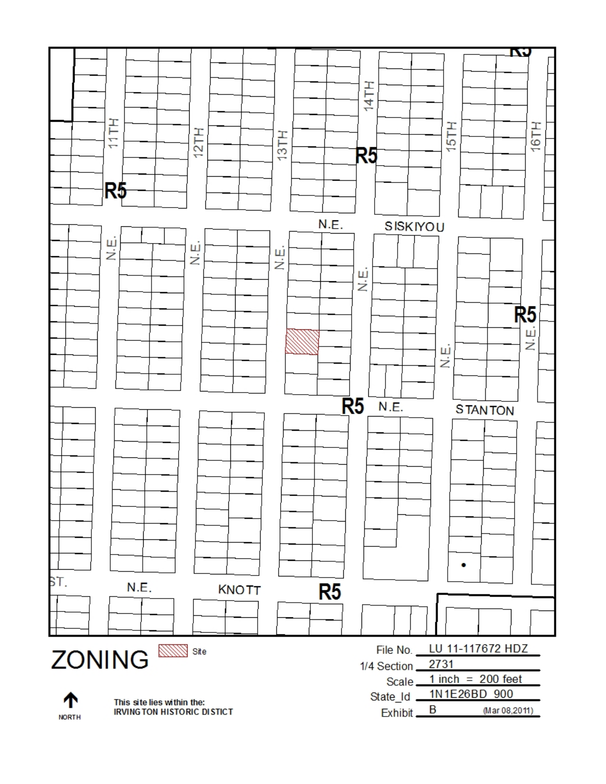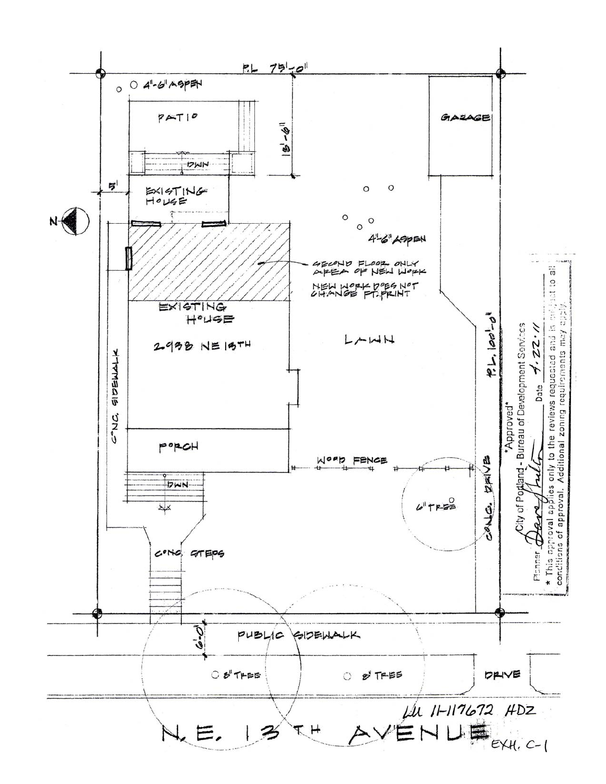